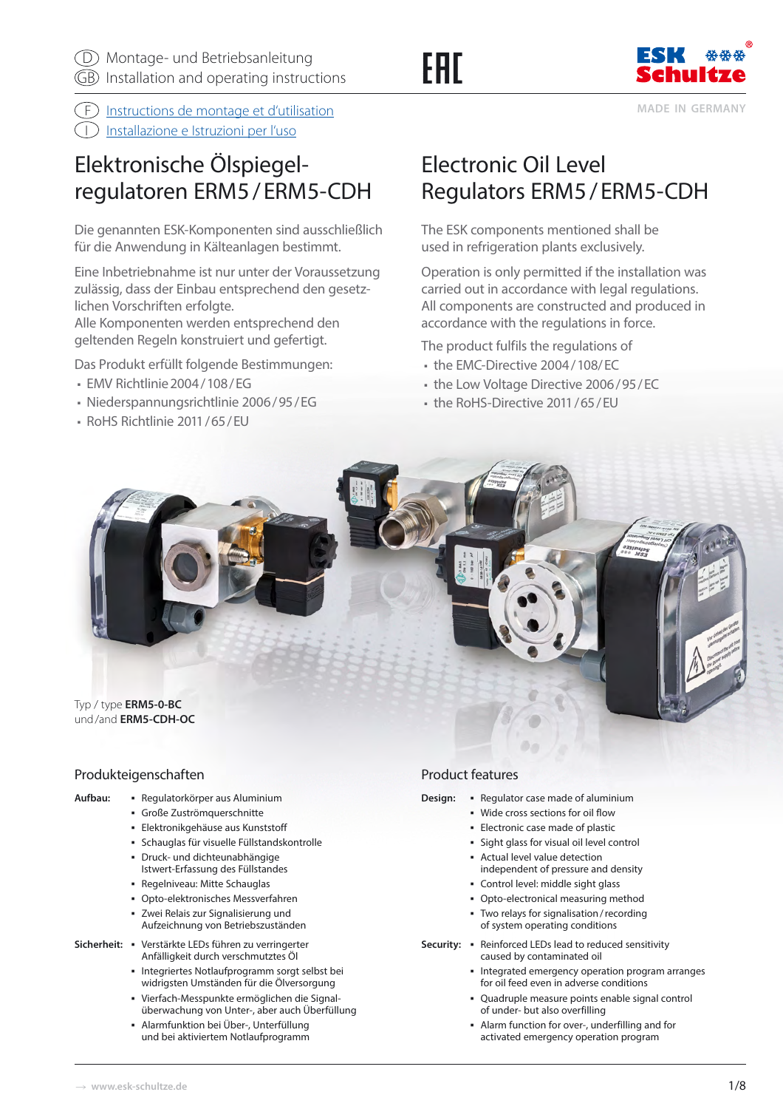# FAT



**MADE IN GERMANY**

 $\widehat{F}$  Instructions de montage et d'utilisation

[I Installazione e Istruzioni per l'uso](http://www.eskschultze.de/Montageanleitungen/MAL_ERM5_IT.pdf)

# Elektronische Ölspiegelregulatoren ERM5 / ERM5-CDH

Die genannten ESK-Komponenten sind ausschließlich für die Anwendung in Kälteanlagen bestimmt.

Eine Inbetriebnahme ist nur unter der Voraussetzung zulässig, dass der Einbau entsprechend den gesetzlichen Vorschriften erfolgte.

Alle Komponenten werden entsprechend den geltenden Regeln konstruiert und gefertigt.

Das Produkt erfüllt folgende Bestimmungen:

- EMV Richtlinie 2004 / 108 / EG
- Niederspannungsrichtlinie 2006 / 95 / EG
- RoHS Richtlinie 2011 / 65 / EU

# Electronic Oil Level Regulators ERM5 / ERM5-CDH

The ESK components mentioned shall be used in refrigeration plants exclusively.

Operation is only permitted if the installation was carried out in accordance with legal regulations. All components are constructed and produced in accordance with the regulations in force.

The product fulfils the regulations of

- the EMC-Directive 2004 / 108 / EC
- the Low Voltage Directive 2006/95/EC
- the RoHS-Directive 2011/65/EU



# Produkteigenschaften

- 
- **Aufbau:**  Regulatorkörper aus Aluminium
	- Große Zuströmquerschnitte
	- Elektronikgehäuse aus Kunststoff
	- Schauglas für visuelle Füllstandskontrolle
	- Druck- und dichteunabhängige Istwert-Erfassung des Füllstandes
	- Regelniveau: Mitte Schauglas
	- Opto-elektronisches Messverfahren
	- Zwei Relais zur Signalisierung und Aufzeichnung von Betriebszuständen
- **Sicherheit:** Verstärkte LEDs führen zu verringerter Anfälligkeit durch verschmutztes Öl
	- Integriertes Notlaufprogramm sorgt selbst bei widrigsten Umständen für die Ölversorgung
	- Vierfach-Messpunkte ermöglichen die Signalüberwachung von Unter-, aber auch Überfüllung
	- Alarmfunktion bei Über-, Unterfüllung und bei aktiviertem Notlaufprogramm

# Product features

- **Design: Regulator case made of aluminium** 
	- Wide cross sections for oil flow
	- Electronic case made of plastic
	- Sight glass for visual oil level control
	- Actual level value detection independent of pressure and density
	- Control level: middle sight glass
	- Opto-electronical measuring method
	- Two relays for signalisation / recording of system operating conditions
- Security: **•** Reinforced LEDs lead to reduced sensitivity caused by contaminated oil
	- **Integrated emergency operation program arranges** for oil feed even in adverse conditions
	- Quadruple measure points enable signal control of under- but also overfilling
	- Alarm function for over-, underfilling and for activated emergency operation program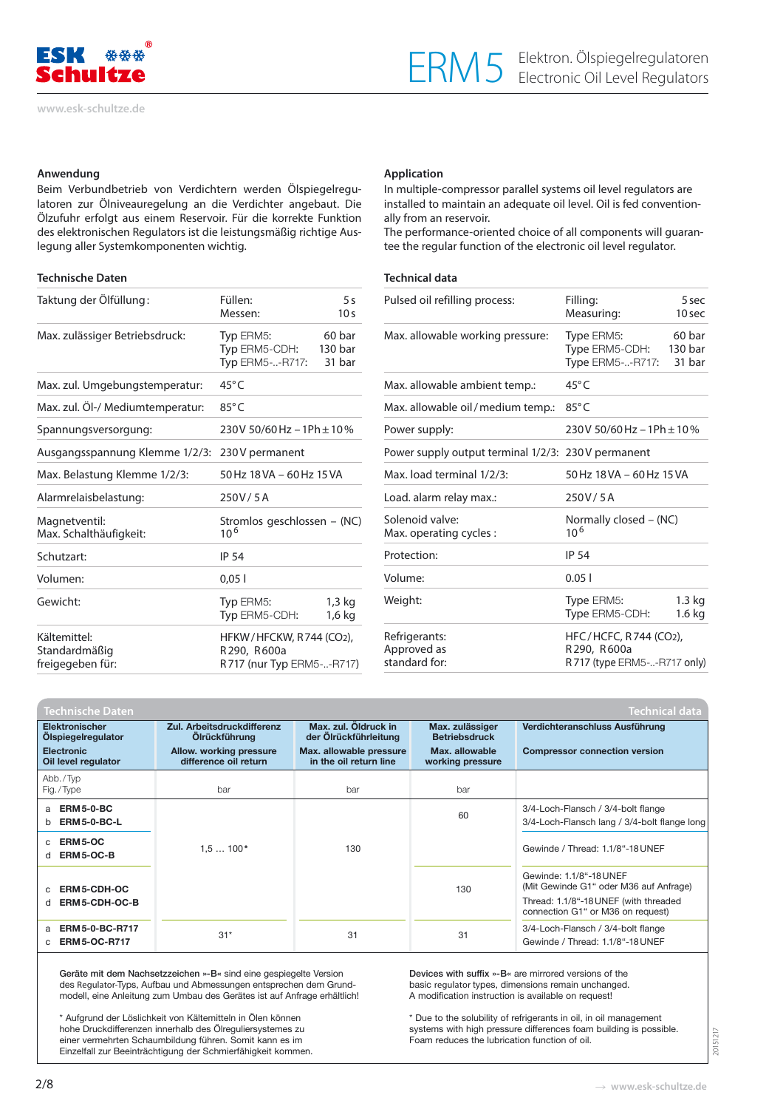

#### **Anwendung**

Beim Verbundbetrieb von Verdichtern werden Ölspiegelregulatoren zur Ölniveauregelung an die Verdichter angebaut. Die Ölzufuhr erfolgt aus einem Reservoir. Für die korrekte Funktion des elektronischen Regulators ist die leistungsmäßig richtige Auslegung aller Systemkomponenten wichtig.

#### **Technische Daten**

| Taktung der Ölfüllung:                            | Füllen:<br>Messen:                                                        | 5s<br>10 <sub>s</sub> |  |  |
|---------------------------------------------------|---------------------------------------------------------------------------|-----------------------|--|--|
| Max. zulässiger Betriebsdruck:                    | Typ ERM <sub>5</sub> :<br>Typ ERM5-CDH: 130 bar<br><b>Typ ERM5--R717:</b> | 60 bar<br>31 bar      |  |  |
| Max. zul. Umgebungstemperatur:                    | $45^{\circ}$ C                                                            |                       |  |  |
| Max. zul. Öl-/ Mediumtemperatur:                  | $85^{\circ}$ C                                                            |                       |  |  |
| Spannungsversorgung:                              | 230V 50/60 Hz $-1$ Ph $\pm$ 10%                                           |                       |  |  |
| Ausgangsspannung Klemme 1/2/3: 230V permanent     |                                                                           |                       |  |  |
| Max. Belastung Klemme 1/2/3:                      | 50 Hz 18 VA - 60 Hz 15 VA                                                 |                       |  |  |
| Alarmrelaisbelastung:                             | 250V/5A                                                                   |                       |  |  |
| Magnetventil:<br>Max. Schalthäufigkeit:           | Stromlos geschlossen – (NC)<br>$10^{6}$                                   |                       |  |  |
| Schutzart:                                        | <b>IP 54</b>                                                              |                       |  |  |
| Volumen:                                          | 0,051                                                                     |                       |  |  |
| Gewicht:                                          | Typ ERM5:<br>Typ ERM5-CDH:                                                | 1,3 kg<br>1,6 kg      |  |  |
| Kältemittel:<br>Standardmäßig<br>freigegeben für: | HFKW/HFCKW, R744 (CO2),<br>R290, R600a<br>R717 (nur Typ ERM5--R717)       |                       |  |  |

#### **Application**

In multiple-compressor parallel systems oil level regulators are installed to maintain an adequate oil level. Oil is fed conventionally from an reservoir.

The performance-oriented choice of all components will guarantee the regular function of the electronic oil level regulator.

#### **Technical data**

| Pulsed oil refilling process:                      | Filling:<br>Measuring:                                               | 5 sec<br>10 sec             |  |  |
|----------------------------------------------------|----------------------------------------------------------------------|-----------------------------|--|--|
| Max. allowable working pressure:                   | Type ERM5:<br>Type ERM5-CDH:<br><b>Type ERM5--R717:</b>              | 60 bar<br>130 bar<br>31 bar |  |  |
| Max. allowable ambient temp.:                      | $45^{\circ}$ C                                                       |                             |  |  |
| Max. allowable oil / medium temp.:                 | $85^{\circ}$ C                                                       |                             |  |  |
| Power supply:                                      | 230V 50/60 Hz - 1Ph ± 10%                                            |                             |  |  |
| Power supply output terminal 1/2/3: 230V permanent |                                                                      |                             |  |  |
| Max. load terminal 1/2/3:                          | 50 Hz 18 VA - 60 Hz 15 VA                                            |                             |  |  |
| Load. alarm relay max.:                            | 250V/5A                                                              |                             |  |  |
| Solenoid valve:<br>Max. operating cycles :         | Normally closed – (NC)<br>10 <sup>6</sup>                            |                             |  |  |
| Protection:                                        | <b>IP 54</b>                                                         |                             |  |  |
| Volume:                                            | 0.051                                                                |                             |  |  |
| Weight:                                            | Type ERM5:<br>Type ERM5-CDH:                                         | $1.3$ kg<br>1.6 kg          |  |  |
| Refrigerants:<br>Approved as<br>standard for:      | HFC/HCFC, R744 (CO2),<br>R290, R600a<br>R 717 (type ERM5--R717 only) |                             |  |  |

| <b>Technical data</b><br><b>Technische Daten</b> |                                                    |                                                   |                                         |                                                                                                                                                 |  |  |
|--------------------------------------------------|----------------------------------------------------|---------------------------------------------------|-----------------------------------------|-------------------------------------------------------------------------------------------------------------------------------------------------|--|--|
| <b>Elektronischer</b><br>Olspiegelregulator      | Zul. Arbeitsdruckdifferenz<br><b>Olrückführung</b> | Max. zul. Öldruck in<br>der Olrückführleitung     | Max. zulässiger<br><b>Betriebsdruck</b> | Verdichteranschluss Ausführung                                                                                                                  |  |  |
| <b>Electronic</b><br>Oil level regulator         | Allow. working pressure<br>difference oil return   | Max. allowable pressure<br>in the oil return line | Max. allowable<br>working pressure      | <b>Compressor connection version</b>                                                                                                            |  |  |
| Abb./Typ<br>Fig./Type                            | bar                                                | bar                                               | bar                                     |                                                                                                                                                 |  |  |
| <b>ERM5-0-BC</b><br>a<br><b>ERM5-0-BC-L</b><br>b |                                                    |                                                   | 60                                      | 3/4-Loch-Flansch / 3/4-bolt flange<br>3/4-Loch-Flansch lang / 3/4-bolt flange long                                                              |  |  |
| ERM5-OC<br>ERM5-OC-B<br>d                        | $1.5100*$                                          | 130                                               |                                         | Gewinde / Thread: 1.1/8"-18 UNEF                                                                                                                |  |  |
| ERM5-CDH-OC<br>ERM5-CDH-OC-B<br>d                |                                                    |                                                   | 130                                     | Gewinde: 1.1/8"-18 UNEF<br>(Mit Gewinde G1" oder M36 auf Anfrage)<br>Thread: 1.1/8"-18 UNEF (with threaded<br>connection G1" or M36 on request) |  |  |
| ERM 5-0-BC-R717<br>a<br><b>ERM5-OC-R717</b>      | $31*$                                              | 31                                                | 31                                      | 3/4-Loch-Flansch / 3/4-bolt flange<br>Gewinde / Thread: 1.1/8"-18 UNEF                                                                          |  |  |

Geräte mit dem Nachsetzzeichen »-B« sind eine gespiegelte Version des Regulator-Typs, Aufbau und Abmessungen entsprechen dem Grundmodell, eine Anleitung zum Umbau des Gerätes ist auf Anfrage erhältlich!

\* Aufgrund der Löslichkeit von Kältemitteln in Ölen können hohe Druckdifferenzen innerhalb des Ölreguliersystemes zu einer vermehrten Schaumbildung führen. Somit kann es im Einzelfall zur Beeinträchtigung der Schmierfähigkeit kommen.

Devices with suffix »-B« are mirrored versions of the basic regulator types, dimensions remain unchanged. A modification instruction is available on request!

\* Due to the solubility of refrigerants in oil, in oil management systems with high pressure differences foam building is possible. Foam reduces the lubrication function of oil.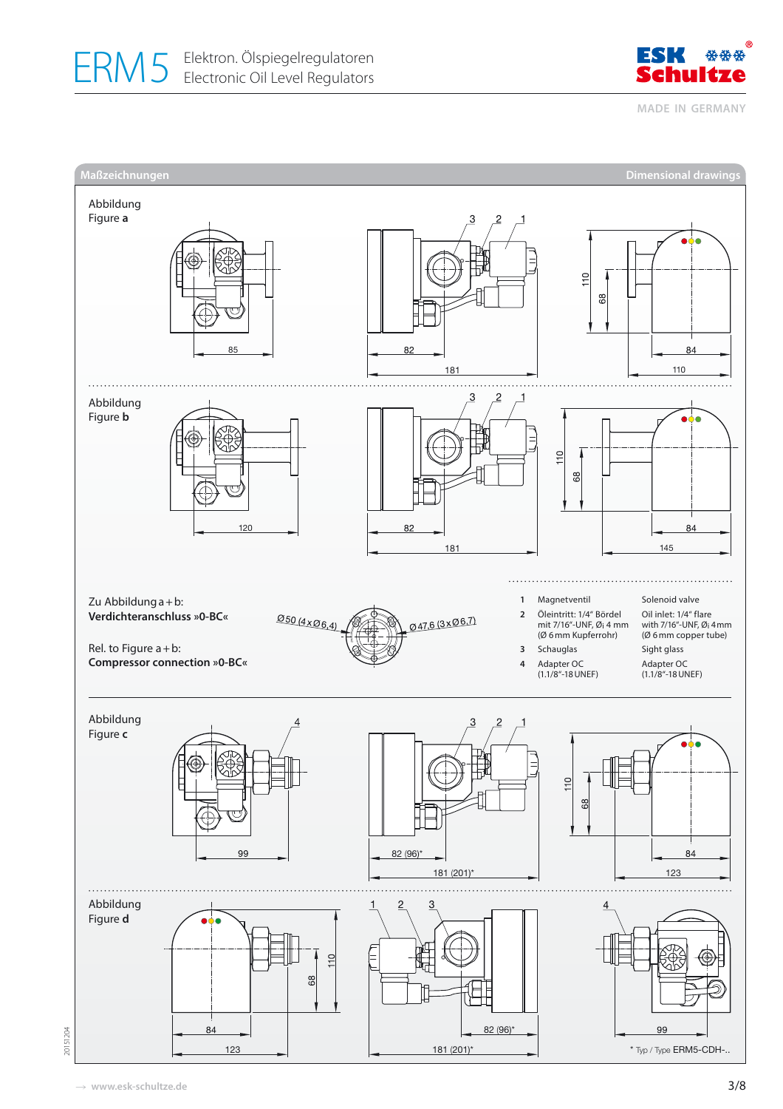



**MADE IN GERMANY**

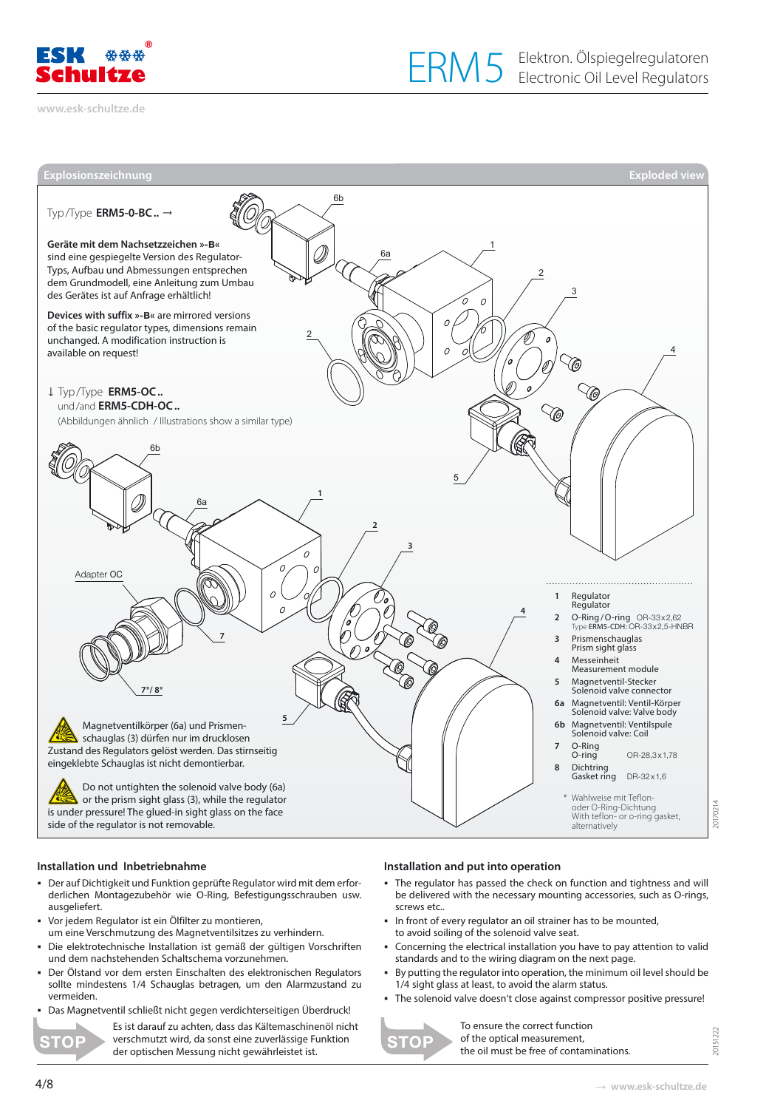

**[www.esk-schultze.de](http://www.esk-schultze.de)**



#### **Installation und Inbetriebnahme**

- Der auf Dichtigkeit und Funktion geprüfte Regulator wird mit dem erforderlichen Montagezubehör wie O-Ring, Befestigungsschrauben usw. ausgeliefert.
- Vor jedem Regulator ist ein Ölfilter zu montieren,
- um eine Verschmutzung des Magnetventilsitzes zu verhindern. Die elektrotechnische Installation ist gemäß der gültigen Vorschriften
- und dem nachstehenden Schaltschema vorzunehmen.
- Der Ölstand vor dem ersten Einschalten des elektronischen Regulators sollte mindestens 1/4 Schauglas betragen, um den Alarmzustand zu vermeiden.
- Das Magnetventil schließt nicht gegen verdichterseitigen Überdruck!

**STO** 

Es ist darauf zu achten, dass das Kältemaschinenöl nicht verschmutzt wird, da sonst eine zuverlässige Funktion der optischen Messung nicht gewährleistet ist.

#### **Installation and put into operation**

- The regulator has passed the check on function and tightness and will be delivered with the necessary mounting accessories, such as O-rings, screws etc...
- In front of every regulator an oil strainer has to be mounted,
- to avoid soiling of the solenoid valve seat.
- Concerning the electrical installation you have to pay attention to valid standards and to the wiring diagram on the next page.
- By putting the regulator into operation, the minimum oil level should be 1/4 sight glass at least, to avoid the alarm status.
- The solenoid valve doesn't close against compressor positive pressure!



To ensure the correct function of the optical measurement, the oil must be free of contaminations.

20151222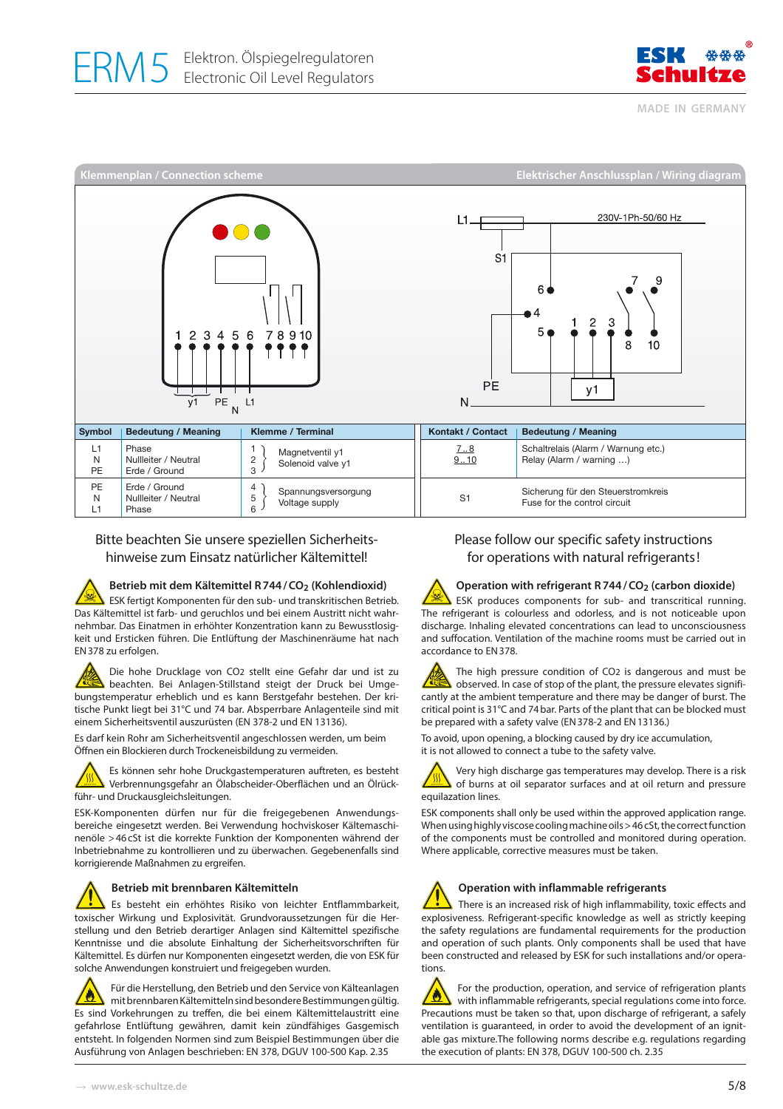

**MADE IN GERMANY**



# Bitte beachten Sie unsere speziellen Sicherheitshinweise zum Einsatz natürlicher Kältemittel!

#### Betrieb mit dem Kältemittel R 744 / CO<sub>2</sub> (Kohlendioxid)

ESK fertigt Komponenten für den sub- und transkritischen Betrieb. Das Kältemittel ist farb- und geruchlos und bei einem Austritt nicht wahrnehmbar. Das Einatmen in erhöhter Konzentration kann zu Bewusstlosigkeit und Ersticken führen. Die Entlüftung der Maschinenräume hat nach EN 378 zu erfolgen.

Die hohe Drucklage von CO2 stellt eine Gefahr dar und ist zu beachten. Bei Anlagen-Stillstand steigt der Druck bei Umgebungstemperatur erheblich und es kann Berstgefahr bestehen. Der kritische Punkt liegt bei 31°C und 74 bar. Absperrbare Anlagenteile sind mit einem Sicherheitsventil auszurüsten (EN 378-2 und EN 13136).

Es darf kein Rohr am Sicherheitsventil angeschlossen werden, um beim Öffnen ein Blockieren durch Trockeneisbildung zu vermeiden.



ESK-Komponenten dürfen nur für die freigegebenen Anwendungsbereiche eingesetzt werden. Bei Verwendung hochviskoser Kältemaschinenöle > 46 cSt ist die korrekte Funktion der Komponenten während der Inbetriebnahme zu kontrollieren und zu überwachen. Gegebenenfalls sind korrigierende Maßnahmen zu ergreifen.

#### **Betrieb mit brennbaren Kältemitteln**

Es besteht ein erhöhtes Risiko von leichter Entflammbarkeit, toxischer Wirkung und Explosivität. Grundvoraussetzungen für die Herstellung und den Betrieb derartiger Anlagen sind Kältemittel spezifische Kenntnisse und die absolute Einhaltung der Sicherheitsvorschriften für Kältemittel. Es dürfen nur Komponenten eingesetzt werden, die von ESK für solche Anwendungen konstruiert und freigegeben wurden.

Für die Herstellung, den Betrieb und den Service von Kälteanlagen Ø mit brennbaren Kältemitteln sind besondere Bestimmungen gültig. Es sind Vorkehrungen zu treffen, die bei einem Kältemittelaustritt eine gefahrlose Entlüftung gewähren, damit kein zündfähiges Gasgemisch entsteht. In folgenden Normen sind zum Beispiel Bestimmungen über die Ausführung von Anlagen beschrieben: EN 378, DGUV 100-500 Kap. 2.35

# Please follow our specific safety instructions for operations with natural refrigerants !

# **Operation with refrigerant R 744 / CO2 (carbon dioxide)**

**Q** ESK produces components for sub- and transcritical running. The refrigerant is colourless and odorless, and is not noticeable upon discharge. Inhaling elevated concentrations can lead to unconsciousness and suffocation. Ventilation of the machine rooms must be carried out in accordance to EN 378.

The high pressure condition of CO2 is dangerous and must be observed. In case of stop of the plant, the pressure elevates significantly at the ambient temperature and there may be danger of burst. The critical point is 31°C and 74 bar. Parts of the plant that can be blocked must be prepared with a safety valve (EN 378-2 and EN 13136.)

To avoid, upon opening, a blocking caused by dry ice accumulation, it is not allowed to connect a tube to the safety valve.



Very high discharge gas temperatures may develop. There is a risk of burns at oil separator surfaces and at oil return and pressure equilazation lines.

ESK components shall only be used within the approved application range. When using highly viscose cooling machine oils > 46 cSt, the correct function of the components must be controlled and monitored during operation. Where applicable, corrective measures must be taken.



### **Operation with inflammable refrigerants**

There is an increased risk of high inflammability, toxic effects and explosiveness. Refrigerant-specific knowledge as well as strictly keeping the safety regulations are fundamental requirements for the production and operation of such plants. Only components shall be used that have been constructed and released by ESK for such installations and/or operations.

For the production, operation, and service of refrigeration plants Ø with inflammable refrigerants, special regulations come into force. Precautions must be taken so that, upon discharge of refrigerant, a safely ventilation is guaranteed, in order to avoid the development of an ignitable gas mixture.The following norms describe e.g. regulations regarding the execution of plants: EN 378, DGUV 100-500 ch. 2.35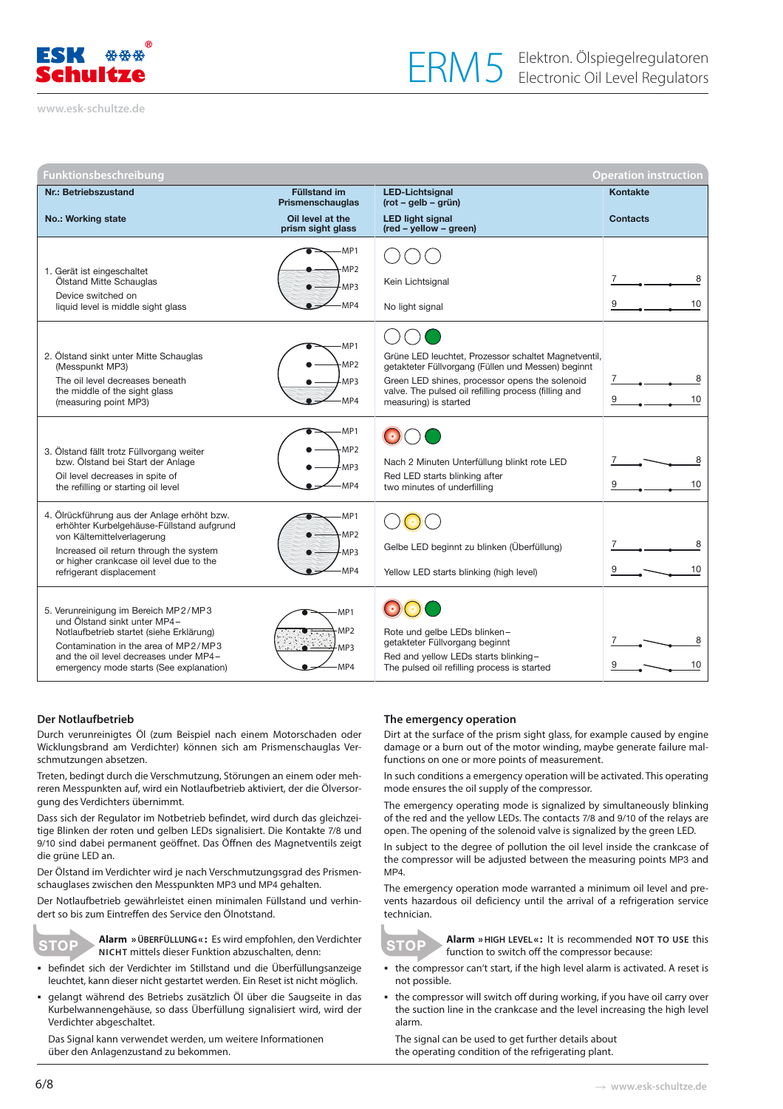

**[www.esk-schultze.de](http://www.esk-schultze.de)**

| Funktionsbeschreibung<br><b>Operation instruction</b>                                                                                                                                                                                         |                                         |                                                                                                                                                                                                                                               |                 |  |  |
|-----------------------------------------------------------------------------------------------------------------------------------------------------------------------------------------------------------------------------------------------|-----------------------------------------|-----------------------------------------------------------------------------------------------------------------------------------------------------------------------------------------------------------------------------------------------|-----------------|--|--|
| Nr.: Betriebszustand                                                                                                                                                                                                                          | <b>Füllstand im</b><br>Prismenschauglas | <b>LED-Lichtsignal</b><br>$(rot - gelb - grün)$                                                                                                                                                                                               | Kontakte        |  |  |
| <b>No.: Working state</b>                                                                                                                                                                                                                     | Oil level at the<br>prism sight glass   | <b>LED light signal</b><br>(red - yellow - green)                                                                                                                                                                                             | <b>Contacts</b> |  |  |
|                                                                                                                                                                                                                                               | -MP1                                    |                                                                                                                                                                                                                                               |                 |  |  |
| 1. Gerät ist eingeschaltet<br>Ölstand Mitte Schauglas                                                                                                                                                                                         | MP <sub>2</sub><br>-MP3                 | Kein Lichtsignal                                                                                                                                                                                                                              | 8               |  |  |
| Device switched on<br>liquid level is middle sight glass                                                                                                                                                                                      | MP4                                     | No light signal                                                                                                                                                                                                                               | 9<br>10         |  |  |
| 2. Ölstand sinkt unter Mitte Schauglas<br>(Messpunkt MP3)<br>The oil level decreases beneath<br>the middle of the sight glass<br>(measuring point MP3)                                                                                        | MP1-<br>MP <sub>2</sub><br>MP3<br>MP4   | Grüne LED leuchtet, Prozessor schaltet Magnetventil,<br>getakteter Füllvorgang (Füllen und Messen) beginnt<br>Green LED shines, processor opens the solenoid<br>valve. The pulsed oil refilling process (filling and<br>measuring) is started | 10<br>9         |  |  |
| 3. Ölstand fällt trotz Füllvorgang weiter<br>bzw. Ölstand bei Start der Anlage<br>Oil level decreases in spite of<br>the refilling or starting oil level                                                                                      | -MP1<br>MP <sub>2</sub><br>MP3<br>MP4   | Nach 2 Minuten Unterfüllung blinkt rote LED<br>Red LED starts blinking after<br>two minutes of underfilling                                                                                                                                   | 8<br>10         |  |  |
| 4. Ölrückführung aus der Anlage erhöht bzw.<br>erhöhter Kurbelgehäuse-Füllstand aufgrund<br>von Kältemittelverlagerung<br>Increased oil return through the system<br>or higher crankcase oil level due to the<br>refrigerant displacement     | -MP1<br>-MP <sub>2</sub><br>MP3<br>MP4  | Gelbe LED beginnt zu blinken (Überfüllung)<br>Yellow LED starts blinking (high level)                                                                                                                                                         | 8<br>10         |  |  |
| 5. Verunreinigung im Bereich MP2/MP3<br>und Ölstand sinkt unter MP4-<br>Notlaufbetrieb startet (siehe Erklärung)<br>Contamination in the area of MP2/MP3<br>and the oil level decreases under MP4-<br>emergency mode starts (See explanation) | MP1<br>MP <sub>2</sub><br>MP3<br>MP4    | Rote und gelbe LEDs blinken-<br>getakteter Füllvorgang beginnt<br>Red and yellow LEDs starts blinking-<br>The pulsed oil refilling process is started                                                                                         | 10              |  |  |

#### **Der Notlaufbetrieb**

Durch verunreinigtes Öl (zum Beispiel nach einem Motorschaden oder Wicklungsbrand am Verdichter) können sich am Prismenschauglas Verschmutzungen absetzen.

Treten, bedingt durch die Verschmutzung, Störungen an einem oder mehreren Messpunkten auf, wird ein Notlaufbetrieb aktiviert, der die Ölversorgung des Verdichters übernimmt.

Dass sich der Regulator im Notbetrieb befindet, wird durch das gleichzeitige Blinken der roten und gelben LEDs signalisiert. Die Kontakte 7/8 und 9/10 sind dabei permanent geöffnet. Das Öffnen des Magnetventils zeigt die grüne LED an.

Der Ölstand im Verdichter wird je nach Verschmutzungsgrad des Prismenschauglases zwischen den Messpunkten MP3 und MP4 gehalten.

Der Notlaufbetrieb gewährleistet einen minimalen Füllstand und verhindert so bis zum Eintreffen des Service den Ölnotstand.



**Alarm » ÜBERFÜLLUNG « :** Es wird empfohlen, den Verdichter **NICHT** mittels dieser Funktion abzuschalten, denn:

- befindet sich der Verdichter im Stillstand und die Überfüllungsanzeige leuchtet, kann dieser nicht gestartet werden. Ein Reset ist nicht möglich.
- gelangt während des Betriebs zusätzlich Öl über die Saugseite in das Kurbelwannengehäuse, so dass Überfüllung signalisiert wird, wird der Verdichter abgeschaltet.

Das Signal kann verwendet werden, um weitere Informationen über den Anlagenzustand zu bekommen.

#### **The emergency operation**

Dirt at the surface of the prism sight glass, for example caused by engine damage or a burn out of the motor winding, maybe generate failure malfunctions on one or more points of measurement.

In such conditions a emergency operation will be activated. This operating mode ensures the oil supply of the compressor.

The emergency operating mode is signalized by simultaneously blinking of the red and the yellow LEDs. The contacts 7/8 and 9/10 of the relays are open. The opening of the solenoid valve is signalized by the green LED.

In subject to the degree of pollution the oil level inside the crankcase of the compressor will be adjusted between the measuring points MP3 and MP4.

The emergency operation mode warranted a minimum oil level and prevents hazardous oil deficiency until the arrival of a refrigeration service technician.



**Alarm » HIGH LEVEL « :** It is recommended **NOT TO USE** this function to switch off the compressor because:

- the compressor can't start, if the high level alarm is activated. A reset is not possible.
- the compressor will switch off during working, if you have oil carry over the suction line in the crankcase and the level increasing the high level alarm.

The signal can be used to get further details about the operating condition of the refrigerating plant.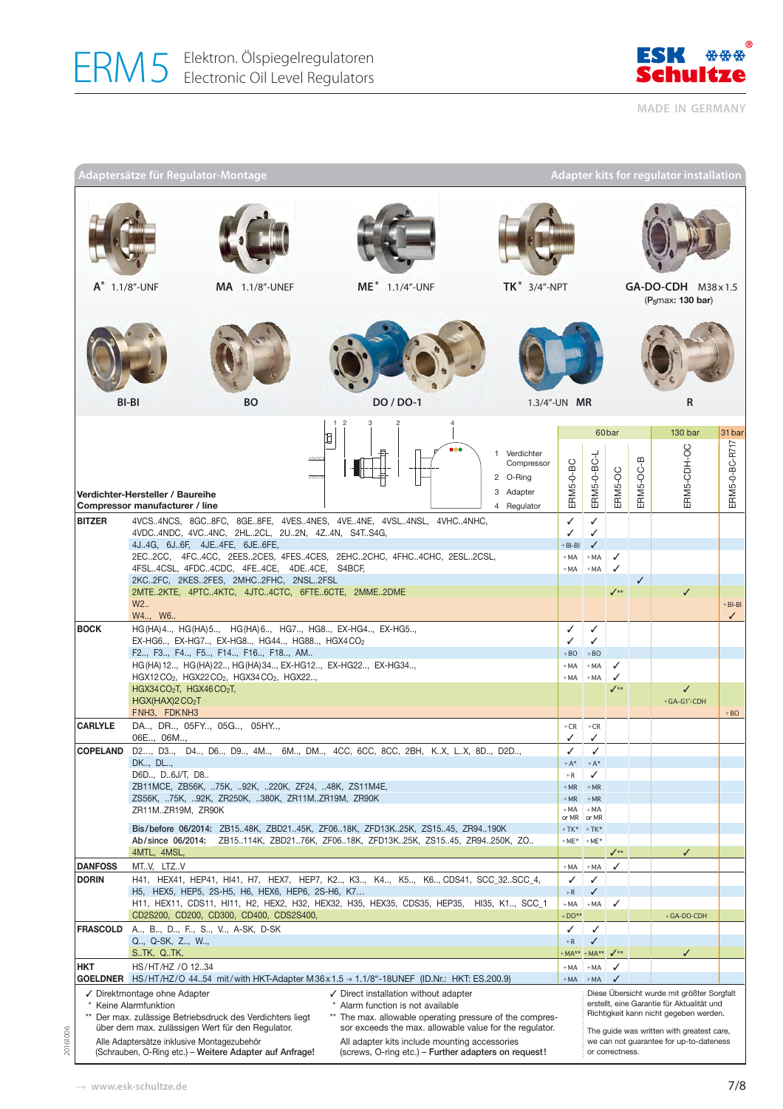

**MADE IN GERMANY**

|                                | Adaptersätze für Regulator-Montage                                                                                                                            |                                                                                                                                            |                                                                                                                                                                                                                                                                                         |                                                                    |                                                    |                                                    |                   |           | <b>Adapter kits for regulator installation</b>                                                                                                                                  |                           |
|--------------------------------|---------------------------------------------------------------------------------------------------------------------------------------------------------------|--------------------------------------------------------------------------------------------------------------------------------------------|-----------------------------------------------------------------------------------------------------------------------------------------------------------------------------------------------------------------------------------------------------------------------------------------|--------------------------------------------------------------------|----------------------------------------------------|----------------------------------------------------|-------------------|-----------|---------------------------------------------------------------------------------------------------------------------------------------------------------------------------------|---------------------------|
|                                |                                                                                                                                                               |                                                                                                                                            |                                                                                                                                                                                                                                                                                         |                                                                    |                                                    |                                                    |                   |           |                                                                                                                                                                                 |                           |
|                                | ME* 1.1/4"-UNF<br>$A^*$ 1.1/8"-UNF<br>MA 1.1/8"-UNEF                                                                                                          |                                                                                                                                            | $TK^*$ 3/4"-NPT                                                                                                                                                                                                                                                                         |                                                                    |                                                    | GA-DO-CDH M38x1.5<br>(P <sub>S</sub> max: 130 bar) |                   |           |                                                                                                                                                                                 |                           |
|                                |                                                                                                                                                               |                                                                                                                                            |                                                                                                                                                                                                                                                                                         |                                                                    |                                                    |                                                    |                   |           |                                                                                                                                                                                 |                           |
|                                | <b>BI-BI</b>                                                                                                                                                  | <b>BO</b>                                                                                                                                  | DO / DO-1                                                                                                                                                                                                                                                                               | 1.3/4"-UN MR                                                       |                                                    |                                                    |                   |           | R                                                                                                                                                                               |                           |
|                                |                                                                                                                                                               |                                                                                                                                            | ₫                                                                                                                                                                                                                                                                                       |                                                                    |                                                    |                                                    | 60 <sub>bar</sub> |           | 130 bar                                                                                                                                                                         | 31 bar                    |
|                                | Verdichter-Hersteller / Baureihe<br>Compressor manufacturer / line                                                                                            |                                                                                                                                            |                                                                                                                                                                                                                                                                                         | 1 Verdichter<br>Compressor<br>2 O-Ring<br>3 Adapter<br>4 Regulator | ERM5-0-BC                                          | ERM5-0-BC-L                                        | ERM5-OC           | ERM5-OC-B | ERM5-CDH-OC                                                                                                                                                                     | ERM5-0-BC-R717            |
| <b>BITZER</b>                  |                                                                                                                                                               | 4VDC4NDC, 4VC4NC, 2HL2CL, 2U2N, 4Z4N, S4TS4G,<br>4J.,4G, 6J.,6F, 4JE.,4FE, 6JE.,6FE,<br>4FSL4CSL, 4FDC4CDC, 4FE4CE, 4DE4CE, S4BCF,         | 4VCS4NCS, 8GC8FC, 8GE8FE, 4VES4NES, 4VE4NE, 4VSL4NSL, 4VHC4NHC,<br>2EC2CC, 4FC4CC, 2EES2CES, 4FES4CES, 2EHC2CHC, 4FHC4CHC, 2ESL2CSL,                                                                                                                                                    |                                                                    | $\checkmark$<br>✓<br>$+$ BI-BI<br>$+ MA$<br>$+ MA$ | ✓<br>✓<br>✓<br>$+ MA$<br>$+ MA$                    | ✓<br>✓            |           |                                                                                                                                                                                 |                           |
|                                | W <sub>2</sub> .<br>W4, W6                                                                                                                                    | 2KC2FC, 2KES2FES, 2MHC2FHC, 2NSL2FSL<br>2MTE2KTE, 4PTC4KTC, 4JTC4CTC, 6FTE6CTE, 2MME2DME                                                   |                                                                                                                                                                                                                                                                                         |                                                                    |                                                    |                                                    |                   | ✓         | $\checkmark$                                                                                                                                                                    | $+$ BI-BI<br>$\checkmark$ |
| <b>BOCK</b>                    |                                                                                                                                                               | HG(HA) 4., HG(HA) 5., HG(HA) 6., HG7., HG8., EX-HG4., EX-HG5.,<br>EX-HG6, EX-HG7, EX-HG8, HG44, HG88, HGX4CO2                              |                                                                                                                                                                                                                                                                                         |                                                                    | ✓<br>✓                                             | ✓<br>✓                                             |                   |           |                                                                                                                                                                                 |                           |
|                                |                                                                                                                                                               | F2, F3, F4, F5, F14, F16, F18, AM                                                                                                          |                                                                                                                                                                                                                                                                                         |                                                                    | $+BO$                                              | $+BO$                                              |                   |           |                                                                                                                                                                                 |                           |
|                                |                                                                                                                                                               | HG(HA) 12, HG(HA) 22, HG(HA) 34, EX-HG12, EX-HG22, EX-HG34,<br>HGX12CO <sub>2</sub> , HGX22CO <sub>2</sub> , HGX34CO <sub>2</sub> , HGX22, |                                                                                                                                                                                                                                                                                         |                                                                    | $+ MA$<br>$+ MA$                                   | $+ MA$<br>$+ MA$                                   | ✓                 |           |                                                                                                                                                                                 |                           |
|                                | HGX34CO <sub>2</sub> T, HGX46CO <sub>2</sub> T,<br>HGX(HAX)2 CO <sub>2</sub> T                                                                                |                                                                                                                                            |                                                                                                                                                                                                                                                                                         |                                                                    |                                                    |                                                    | $\checkmark$      |           | ✓<br>$+ G A - G 1 - C DH$                                                                                                                                                       |                           |
| <b>CARLYLE</b>                 | FNH3, FDKNH3                                                                                                                                                  | DA, DR, 05FY, 05G, 05HY,                                                                                                                   |                                                                                                                                                                                                                                                                                         |                                                                    | $+CR$                                              | $+CR$                                              |                   |           |                                                                                                                                                                                 | $+ BO$                    |
|                                | 06E, 06M,                                                                                                                                                     |                                                                                                                                            |                                                                                                                                                                                                                                                                                         |                                                                    | ✓                                                  | ✓                                                  |                   |           |                                                                                                                                                                                 |                           |
| <b>COPELAND</b>                | DK, DL,                                                                                                                                                       |                                                                                                                                            | D2, D3, D4, D6, D9, 4M, 6M, DM, 4CC, 6CC, 8CC, 2BH, KX, LX, 8D, D2D,                                                                                                                                                                                                                    |                                                                    | ✓<br>$+A^*$                                        | ✓<br>$+A^*$                                        |                   |           |                                                                                                                                                                                 |                           |
|                                | D6D, D6J/T, D8                                                                                                                                                | ZB11MCE, ZB56K, 75K, 92K, 220K, ZF24, 48K, ZS11M4E,                                                                                        |                                                                                                                                                                                                                                                                                         |                                                                    | $+ R$<br>$+ MR$                                    | ✓<br>$+ MR$                                        |                   |           |                                                                                                                                                                                 |                           |
|                                | ZS56K, 75K, 92K, ZR250K, 380K, ZR11MZR19M, ZR90K                                                                                                              |                                                                                                                                            |                                                                                                                                                                                                                                                                                         |                                                                    | $+ MR$                                             | $+ MR$                                             |                   |           |                                                                                                                                                                                 |                           |
|                                | ZR11MZR19M, ZR90K                                                                                                                                             |                                                                                                                                            |                                                                                                                                                                                                                                                                                         |                                                                    | $+ MA$<br>or MR                                    | $+ MA$<br>or MR                                    |                   |           |                                                                                                                                                                                 |                           |
|                                | Bis/before 06/2014: ZB1548K, ZBD2145K, ZF0618K, ZFD13K25K, ZS1545, ZR94190K<br>Ab/since 06/2014: ZB15114K, ZBD2176K, ZF0618K, ZFD13K25K, ZS1545, ZR94250K, ZO |                                                                                                                                            |                                                                                                                                                                                                                                                                                         |                                                                    | $+TK*$                                             | $+TK*$<br>$+ME*$ +ME*                              |                   |           |                                                                                                                                                                                 |                           |
|                                | 4MTL, 4MSL,                                                                                                                                                   |                                                                                                                                            |                                                                                                                                                                                                                                                                                         |                                                                    |                                                    |                                                    | $\checkmark$      |           | ✓                                                                                                                                                                               |                           |
| <b>DANFOSS</b><br><b>DORIN</b> | MT.V, LTZ.V                                                                                                                                                   |                                                                                                                                            | H41, HEX41, HEP41, HI41, H7, HEX7, HEP7, K2, K3, K4, K5, K6, CDS41, SCC_32SCC_4,                                                                                                                                                                                                        |                                                                    | $+ MA$<br>✓                                        | $+ MA$<br>✓                                        | ✓                 |           |                                                                                                                                                                                 |                           |
|                                |                                                                                                                                                               | H5, HEX5, HEP5, 2S-H5, H6, HEX6, HEP6, 2S-H6, K7                                                                                           |                                                                                                                                                                                                                                                                                         |                                                                    | $+{\sf R}$                                         | ✓                                                  |                   |           |                                                                                                                                                                                 |                           |
|                                |                                                                                                                                                               | CD2S200, CD200, CD300, CD400, CDS2S400,                                                                                                    | H11, HEX11, CDS11, HI11, H2, HEX2, H32, HEX32, H35, HEX35, CDS35, HEP35, HI35, K1, SCC_1                                                                                                                                                                                                |                                                                    | $+ MA$<br>$+DO**$                                  | $+ MA$                                             | ✓                 |           | +GA-DO-CDH                                                                                                                                                                      |                           |
| <b>FRASCOLD</b>                |                                                                                                                                                               | A, B, D, F, S, V, A-SK, D-SK                                                                                                               |                                                                                                                                                                                                                                                                                         |                                                                    | ✓                                                  | ✓                                                  |                   |           |                                                                                                                                                                                 |                           |
|                                | Q, Q-SK, Z, W,<br>S. TK, Q. TK,                                                                                                                               |                                                                                                                                            |                                                                                                                                                                                                                                                                                         |                                                                    | $+ R$<br>MA <sup>**</sup>                          | ✓<br>$+ MA**$                                      | $\sqrt{1+x}$      |           | ✓                                                                                                                                                                               |                           |
| <b>HKT</b>                     | HS/HT/HZ / 01234                                                                                                                                              |                                                                                                                                            |                                                                                                                                                                                                                                                                                         |                                                                    | $+ MA$                                             | $+ MA$                                             | $\checkmark$      |           |                                                                                                                                                                                 |                           |
| <b>GOELDNER</b>                | √ Direktmontage ohne Adapter<br>Keine Alarmfunktion                                                                                                           | Der max. zulässige Betriebsdruck des Verdichters liegt<br>über dem max. zulässigen Wert für den Regulator.                                 | HS/HT/HZ/O 4454 mit/with HKT-Adapter M36x1.5 → 1.1/8"-18UNEF (ID.Nr.: HKT: ES.200.9)<br>✓ Direct installation without adapter<br>Alarm function is not available<br>** The max. allowable operating pressure of the compres-<br>sor exceeds the max. allowable value for the regulator. |                                                                    | $+MA$                                              | $+ MA$                                             | ✓                 |           | Diese Übersicht wurde mit größter Sorgfalt<br>erstellt, eine Garantie für Aktualität und<br>Richtigkeit kann nicht gegeben werden.<br>The guide was written with greatest care, |                           |
|                                | Alle Adaptersätze inklusive Montagezubehör                                                                                                                    | (Schrauben, O-Ring etc.) - Weitere Adapter auf Anfrage!                                                                                    | All adapter kits include mounting accessories<br>(screws, O-ring etc.) – Further adapters on request!                                                                                                                                                                                   |                                                                    |                                                    |                                                    | or correctness.   |           | we can not guarantee for up-to-dateness                                                                                                                                         |                           |

20161006